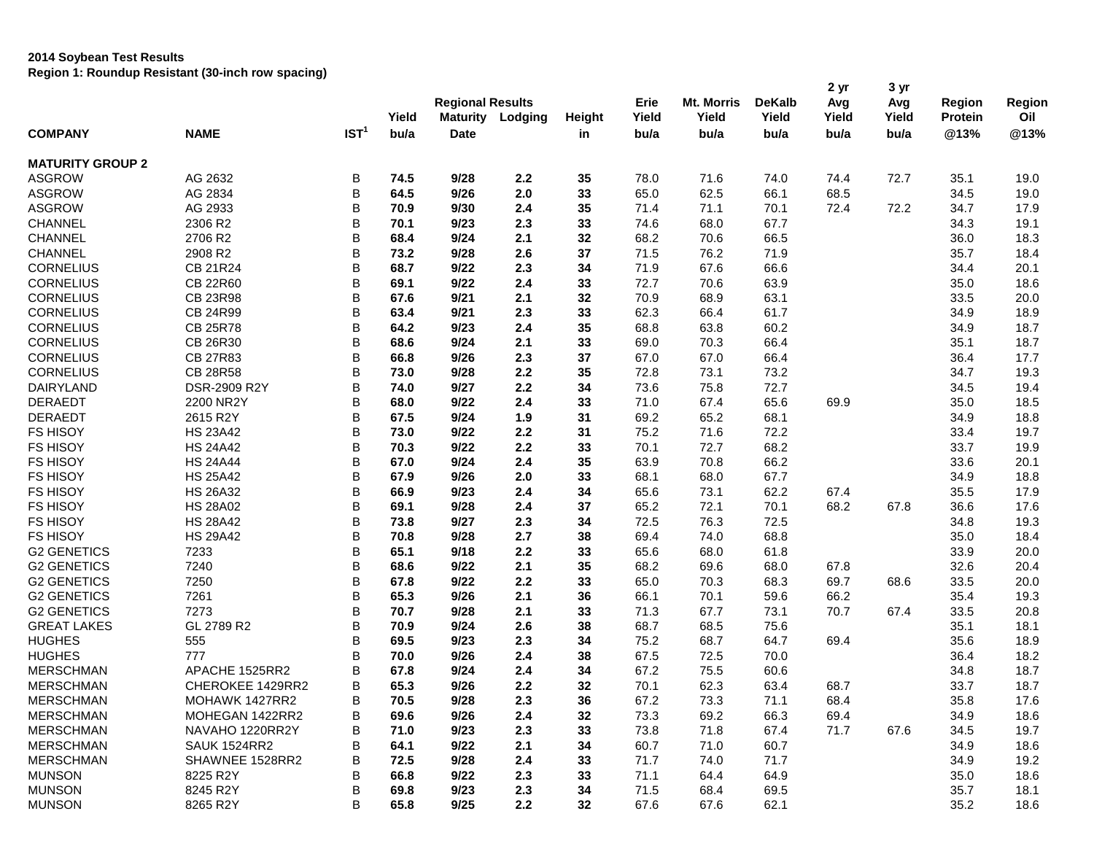## **2014 Soybean Test Results**

**Region 1: Roundup Resistant (30-inch row spacing)**

|                         |                     |                  | Yield | <b>Regional Results</b><br><b>Maturity</b><br>Lodging |     | <b>Height</b> | Erie<br>Yield | Mt. Morris<br>Yield | <b>DeKalb</b><br>Yield | 2 yr<br>Avg<br>Yield | 3 yr<br>Avg<br>Yield | Region<br>Protein | Region<br>Oil |
|-------------------------|---------------------|------------------|-------|-------------------------------------------------------|-----|---------------|---------------|---------------------|------------------------|----------------------|----------------------|-------------------|---------------|
| <b>COMPANY</b>          | <b>NAME</b>         | IST <sup>1</sup> | bu/a  | <b>Date</b>                                           |     | in            | bu/a          | bu/a                | bu/a                   | bu/a                 | bu/a                 | @13%              | @13%          |
| <b>MATURITY GROUP 2</b> |                     |                  |       |                                                       |     |               |               |                     |                        |                      |                      |                   |               |
| <b>ASGROW</b>           | AG 2632             | В                | 74.5  | 9/28                                                  | 2.2 | 35            | 78.0          | 71.6                | 74.0                   | 74.4                 | 72.7                 | 35.1              | 19.0          |
| <b>ASGROW</b>           | AG 2834             | B                | 64.5  | 9/26                                                  | 2.0 | 33            | 65.0          | 62.5                | 66.1                   | 68.5                 |                      | 34.5              | 19.0          |
| <b>ASGROW</b>           | AG 2933             | B                | 70.9  | 9/30                                                  | 2.4 | 35            | 71.4          | 71.1                | 70.1                   | 72.4                 | 72.2                 | 34.7              | 17.9          |
| <b>CHANNEL</b>          | 2306 R2             | B                | 70.1  | 9/23                                                  | 2.3 | 33            | 74.6          | 68.0                | 67.7                   |                      |                      | 34.3              | 19.1          |
| <b>CHANNEL</b>          | 2706 R2             | B                | 68.4  | 9/24                                                  | 2.1 | 32            | 68.2          | 70.6                | 66.5                   |                      |                      | 36.0              | 18.3          |
| <b>CHANNEL</b>          | 2908 R2             | B                | 73.2  | 9/28                                                  | 2.6 | 37            | 71.5          | 76.2                | 71.9                   |                      |                      | 35.7              | 18.4          |
| <b>CORNELIUS</b>        | CB 21R24            | B                | 68.7  | 9/22                                                  | 2.3 | 34            | 71.9          | 67.6                | 66.6                   |                      |                      | 34.4              | 20.1          |
| <b>CORNELIUS</b>        | CB 22R60            | B                | 69.1  | 9/22                                                  | 2.4 | 33            | 72.7          | 70.6                | 63.9                   |                      |                      | 35.0              | 18.6          |
| <b>CORNELIUS</b>        | CB 23R98            | B                | 67.6  | 9/21                                                  | 2.1 | 32            | 70.9          | 68.9                | 63.1                   |                      |                      | 33.5              | 20.0          |
| <b>CORNELIUS</b>        | CB 24R99            | B                | 63.4  | 9/21                                                  | 2.3 | 33            | 62.3          | 66.4                | 61.7                   |                      |                      | 34.9              | 18.9          |
| <b>CORNELIUS</b>        | CB 25R78            | B                | 64.2  | 9/23                                                  | 2.4 | 35            | 68.8          | 63.8                | 60.2                   |                      |                      | 34.9              | 18.7          |
| <b>CORNELIUS</b>        | CB 26R30            | B                | 68.6  | 9/24                                                  | 2.1 | 33            | 69.0          | 70.3                | 66.4                   |                      |                      | 35.1              | 18.7          |
| <b>CORNELIUS</b>        | <b>CB 27R83</b>     | B                | 66.8  | 9/26                                                  | 2.3 | 37            | 67.0          | 67.0                | 66.4                   |                      |                      | 36.4              | 17.7          |
| <b>CORNELIUS</b>        | <b>CB 28R58</b>     | B                | 73.0  | 9/28                                                  | 2.2 | 35            | 72.8          | 73.1                | 73.2                   |                      |                      | 34.7              | 19.3          |
| DAIRYLAND               | DSR-2909 R2Y        | B                | 74.0  | 9/27                                                  | 2.2 | 34            | 73.6          | 75.8                | 72.7                   |                      |                      | 34.5              | 19.4          |
| <b>DERAEDT</b>          | 2200 NR2Y           | B                | 68.0  | 9/22                                                  | 2.4 | 33            | 71.0          | 67.4                | 65.6                   | 69.9                 |                      | 35.0              | 18.5          |
| <b>DERAEDT</b>          | 2615 R2Y            | $\sf B$          | 67.5  | 9/24                                                  | 1.9 | 31            | 69.2          | 65.2                | 68.1                   |                      |                      | 34.9              | 18.8          |
| <b>FS HISOY</b>         | <b>HS 23A42</b>     | B                | 73.0  | 9/22                                                  | 2.2 | 31            | 75.2          | 71.6                | 72.2                   |                      |                      | 33.4              | 19.7          |
| <b>FS HISOY</b>         | <b>HS 24A42</b>     | B                | 70.3  | 9/22                                                  | 2.2 | 33            | 70.1          | 72.7                | 68.2                   |                      |                      | 33.7              | 19.9          |
| <b>FS HISOY</b>         | <b>HS 24A44</b>     | B                | 67.0  | 9/24                                                  | 2.4 | 35            | 63.9          | 70.8                | 66.2                   |                      |                      | 33.6              | 20.1          |
| <b>FS HISOY</b>         | <b>HS 25A42</b>     | B                | 67.9  | 9/26                                                  | 2.0 | 33            | 68.1          | 68.0                | 67.7                   |                      |                      | 34.9              | 18.8          |
| FS HISOY                | <b>HS 26A32</b>     | B                | 66.9  | 9/23                                                  | 2.4 | 34            | 65.6          | 73.1                | 62.2                   | 67.4                 |                      | 35.5              | 17.9          |
| <b>FS HISOY</b>         | <b>HS 28A02</b>     | B                | 69.1  | 9/28                                                  | 2.4 | 37            | 65.2          | 72.1                | 70.1                   | 68.2                 | 67.8                 | 36.6              | 17.6          |
| <b>FS HISOY</b>         | <b>HS 28A42</b>     | B                | 73.8  | 9/27                                                  | 2.3 | 34            | 72.5          | 76.3                | 72.5                   |                      |                      | 34.8              | 19.3          |
| <b>FS HISOY</b>         | <b>HS 29A42</b>     | B                | 70.8  | 9/28                                                  | 2.7 | 38            | 69.4          | 74.0                | 68.8                   |                      |                      | 35.0              | 18.4          |
| <b>G2 GENETICS</b>      | 7233                | B                | 65.1  | 9/18                                                  | 2.2 | 33            | 65.6          | 68.0                | 61.8                   |                      |                      | 33.9              | 20.0          |
| <b>G2 GENETICS</b>      | 7240                | B                | 68.6  | 9/22                                                  | 2.1 | 35            | 68.2          | 69.6                | 68.0                   | 67.8                 |                      | 32.6              | 20.4          |
| <b>G2 GENETICS</b>      | 7250                | B                | 67.8  | 9/22                                                  | 2.2 | 33            | 65.0          | 70.3                | 68.3                   | 69.7                 | 68.6                 | 33.5              | 20.0          |
| <b>G2 GENETICS</b>      | 7261                | B                | 65.3  | 9/26                                                  | 2.1 | 36            | 66.1          | 70.1                | 59.6                   | 66.2                 |                      | 35.4              | 19.3          |
| <b>G2 GENETICS</b>      | 7273                | B                | 70.7  | 9/28                                                  | 2.1 | 33            | 71.3          | 67.7                | 73.1                   | 70.7                 | 67.4                 | 33.5              | 20.8          |
| <b>GREAT LAKES</b>      | GL 2789 R2          | B                | 70.9  | 9/24                                                  | 2.6 | 38            | 68.7          | 68.5                | 75.6                   |                      |                      | 35.1              | 18.1          |
| <b>HUGHES</b>           | 555                 | B                | 69.5  | 9/23                                                  | 2.3 | 34            | 75.2          | 68.7                | 64.7                   | 69.4                 |                      | 35.6              | 18.9          |
| <b>HUGHES</b>           | 777                 | B                | 70.0  | 9/26                                                  | 2.4 | 38            | 67.5          | 72.5                | 70.0                   |                      |                      | 36.4              | 18.2          |
| <b>MERSCHMAN</b>        | APACHE 1525RR2      | B                | 67.8  | 9/24                                                  | 2.4 | 34            | 67.2          | 75.5                | 60.6                   |                      |                      | 34.8              | 18.7          |
| <b>MERSCHMAN</b>        | CHEROKEE 1429RR2    | B                | 65.3  | 9/26                                                  | 2.2 | 32            | 70.1          | 62.3                | 63.4                   | 68.7                 |                      | 33.7              | 18.7          |
| <b>MERSCHMAN</b>        | MOHAWK 1427RR2      | В                | 70.5  | 9/28                                                  | 2.3 | 36            | 67.2          | 73.3                | 71.1                   | 68.4                 |                      | 35.8              | 17.6          |
| <b>MERSCHMAN</b>        | MOHEGAN 1422RR2     | B                | 69.6  | 9/26                                                  | 2.4 | 32            | 73.3          | 69.2                | 66.3                   | 69.4                 |                      | 34.9              | 18.6          |
| <b>MERSCHMAN</b>        | NAVAHO 1220RR2Y     | B                | 71.0  | 9/23                                                  | 2.3 | 33            | 73.8          | 71.8                | 67.4                   | 71.7                 | 67.6                 | 34.5              | 19.7          |
| <b>MERSCHMAN</b>        | <b>SAUK 1524RR2</b> | B                | 64.1  | 9/22                                                  | 2.1 | 34            | 60.7          | 71.0                | 60.7                   |                      |                      | 34.9              | 18.6          |
| <b>MERSCHMAN</b>        | SHAWNEE 1528RR2     | B                | 72.5  | 9/28                                                  | 2.4 | 33            | 71.7          | 74.0                | 71.7                   |                      |                      | 34.9              | 19.2          |
| <b>MUNSON</b>           | 8225 R2Y            | B                | 66.8  | 9/22                                                  | 2.3 | 33            | 71.1          | 64.4                | 64.9                   |                      |                      | 35.0              | 18.6          |
| <b>MUNSON</b>           | 8245 R2Y            | B                | 69.8  | 9/23                                                  | 2.3 | 34            | 71.5          | 68.4                | 69.5                   |                      |                      | 35.7              | 18.1          |
| <b>MUNSON</b>           | 8265 R2Y            | B                | 65.8  | 9/25                                                  | 2.2 | 32            | 67.6          | 67.6                | 62.1                   |                      |                      | 35.2              | 18.6          |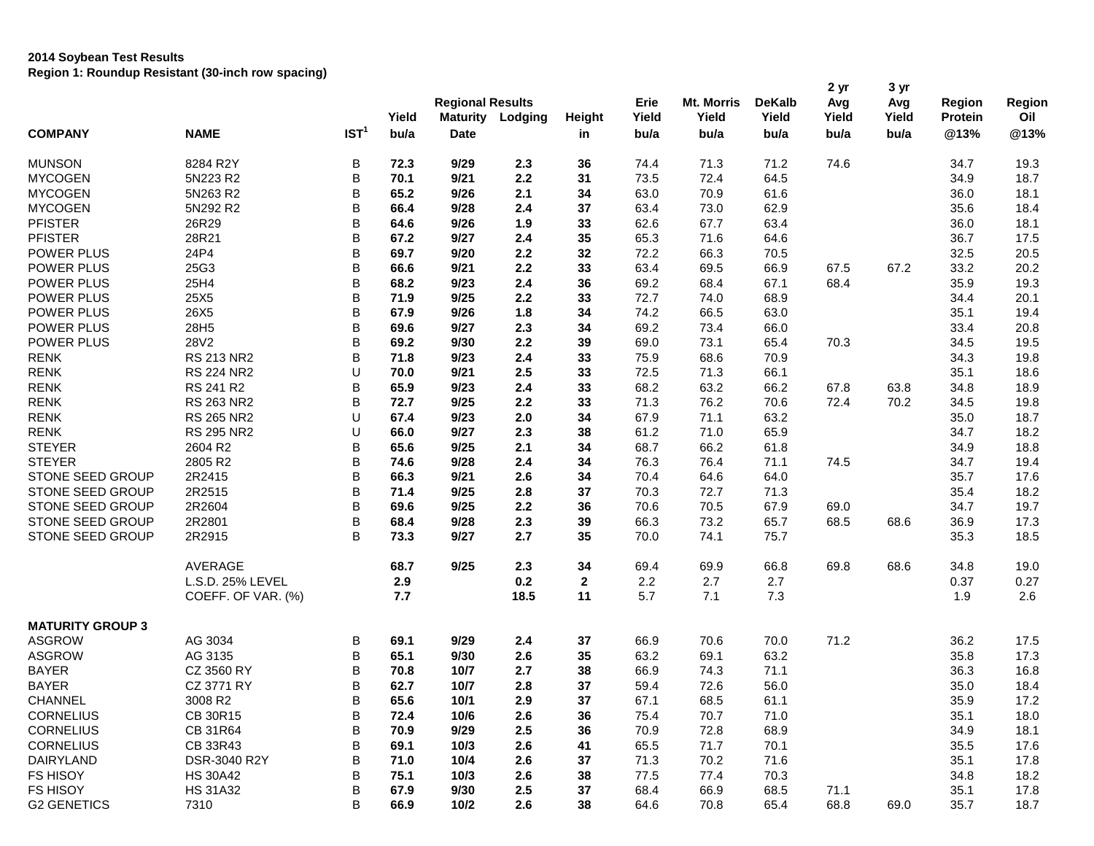## **2014 Soybean Test Results Region 1: Roundup Resistant (30-inch row spacing)**

|                         |                    |                  |               | <b>Regional Results</b>        |         |                     | Erie          | Mt. Morris    | <b>DeKalb</b> | 2 yr<br>Avg   | 3 yr<br>Avg   | <b>Region</b>          | Region      |
|-------------------------|--------------------|------------------|---------------|--------------------------------|---------|---------------------|---------------|---------------|---------------|---------------|---------------|------------------------|-------------|
| <b>COMPANY</b>          | <b>NAME</b>        | IST <sup>1</sup> | Yield<br>bu/a | <b>Maturity</b><br><b>Date</b> | Lodging | <b>Height</b><br>in | Yield<br>bu/a | Yield<br>bu/a | Yield<br>bu/a | Yield<br>bu/a | Yield<br>bu/a | <b>Protein</b><br>@13% | Oil<br>@13% |
| <b>MUNSON</b>           | 8284 R2Y           | В                | 72.3          | 9/29                           | 2.3     | 36                  | 74.4          | 71.3          | 71.2          | 74.6          |               | 34.7                   | 19.3        |
| <b>MYCOGEN</b>          | 5N223 R2           | B                | 70.1          | 9/21                           | 2.2     | 31                  | 73.5          | 72.4          | 64.5          |               |               | 34.9                   | 18.7        |
| <b>MYCOGEN</b>          | 5N263 R2           | B                | 65.2          | 9/26                           | 2.1     | 34                  | 63.0          | 70.9          | 61.6          |               |               | 36.0                   | 18.1        |
| <b>MYCOGEN</b>          | 5N292 R2           | B                | 66.4          | 9/28                           | 2.4     | 37                  | 63.4          | 73.0          | 62.9          |               |               | 35.6                   | 18.4        |
| <b>PFISTER</b>          | 26R29              | B                | 64.6          | 9/26                           | 1.9     | 33                  | 62.6          | 67.7          | 63.4          |               |               | 36.0                   | 18.1        |
| <b>PFISTER</b>          | 28R21              | B                | 67.2          | 9/27                           | 2.4     | 35                  | 65.3          | 71.6          | 64.6          |               |               | 36.7                   | 17.5        |
| POWER PLUS              | 24P4               | B                | 69.7          | 9/20                           | 2.2     | 32                  | 72.2          | 66.3          | 70.5          |               |               | 32.5                   | 20.5        |
| POWER PLUS              | 25G3               | B                | 66.6          | 9/21                           | 2.2     | 33                  | 63.4          | 69.5          | 66.9          | 67.5          | 67.2          | 33.2                   | 20.2        |
| POWER PLUS              | 25H4               | B                | 68.2          | 9/23                           | 2.4     | 36                  | 69.2          | 68.4          | 67.1          | 68.4          |               | 35.9                   | 19.3        |
| POWER PLUS              | 25X5               | B                | 71.9          | 9/25                           | 2.2     | 33                  | 72.7          | 74.0          | 68.9          |               |               | 34.4                   | 20.1        |
| POWER PLUS              | 26X5               | B                | 67.9          | 9/26                           | 1.8     | 34                  | 74.2          | 66.5          | 63.0          |               |               | 35.1                   | 19.4        |
| POWER PLUS              | 28H5               | B                | 69.6          | 9/27                           | 2.3     | 34                  | 69.2          | 73.4          | 66.0          |               |               | 33.4                   | 20.8        |
| POWER PLUS              | 28V2               | B                | 69.2          | 9/30                           | 2.2     | 39                  | 69.0          | 73.1          | 65.4          | 70.3          |               | 34.5                   | 19.5        |
| <b>RENK</b>             | <b>RS 213 NR2</b>  | B                | 71.8          | 9/23                           | 2.4     | 33                  | 75.9          | 68.6          | 70.9          |               |               | 34.3                   | 19.8        |
| <b>RENK</b>             | <b>RS 224 NR2</b>  | U                | 70.0          | 9/21                           | 2.5     | 33                  | 72.5          | 71.3          | 66.1          |               |               | 35.1                   | 18.6        |
| <b>RENK</b>             | RS 241 R2          | B                | 65.9          | 9/23                           | 2.4     | 33                  | 68.2          | 63.2          | 66.2          | 67.8          | 63.8          | 34.8                   | 18.9        |
| <b>RENK</b>             | <b>RS 263 NR2</b>  | B                | 72.7          | 9/25                           | 2.2     | 33                  | 71.3          | 76.2          | 70.6          | 72.4          | 70.2          | 34.5                   | 19.8        |
| <b>RENK</b>             | <b>RS 265 NR2</b>  | U                | 67.4          | 9/23                           | 2.0     | 34                  | 67.9          | 71.1          | 63.2          |               |               | 35.0                   | 18.7        |
| <b>RENK</b>             | <b>RS 295 NR2</b>  | U                | 66.0          | 9/27                           | 2.3     | 38                  | 61.2          | 71.0          | 65.9          |               |               | 34.7                   | 18.2        |
| <b>STEYER</b>           | 2604 R2            | B                | 65.6          | 9/25                           | 2.1     | 34                  | 68.7          | 66.2          | 61.8          |               |               | 34.9                   | 18.8        |
| <b>STEYER</b>           | 2805 R2            | B                | 74.6          | 9/28                           | 2.4     | 34                  | 76.3          | 76.4          | 71.1          | 74.5          |               | 34.7                   | 19.4        |
| STONE SEED GROUP        | 2R2415             | B                | 66.3          | 9/21                           | 2.6     | 34                  | 70.4          | 64.6          | 64.0          |               |               | 35.7                   | 17.6        |
| STONE SEED GROUP        | 2R2515             | B                | 71.4          | 9/25                           | 2.8     | 37                  | 70.3          | 72.7          | 71.3          |               |               | 35.4                   | 18.2        |
| STONE SEED GROUP        | 2R2604             | B                | 69.6          | 9/25                           | 2.2     | 36                  | 70.6          | 70.5          | 67.9          | 69.0          |               | 34.7                   | 19.7        |
| STONE SEED GROUP        | 2R2801             | B                | 68.4          | 9/28                           | 2.3     | 39                  | 66.3          | 73.2          | 65.7          | 68.5          | 68.6          | 36.9                   | 17.3        |
| STONE SEED GROUP        | 2R2915             | B                | 73.3          | 9/27                           | 2.7     | 35                  | 70.0          | 74.1          | 75.7          |               |               | 35.3                   | 18.5        |
|                         | AVERAGE            |                  | 68.7          | 9/25                           | 2.3     | 34                  | 69.4          | 69.9          | 66.8          | 69.8          | 68.6          | 34.8                   | 19.0        |
|                         | L.S.D. 25% LEVEL   |                  | 2.9           |                                | 0.2     | $\mathbf{2}$        | 2.2           | 2.7           | 2.7           |               |               | 0.37                   | 0.27        |
|                         | COEFF. OF VAR. (%) |                  | 7.7           |                                | 18.5    | 11                  | 5.7           | 7.1           | 7.3           |               |               | 1.9                    | 2.6         |
| <b>MATURITY GROUP 3</b> |                    |                  |               |                                |         |                     |               |               |               |               |               |                        |             |
| <b>ASGROW</b>           | AG 3034            | B                | 69.1          | 9/29                           | 2.4     | 37                  | 66.9          | 70.6          | 70.0          | 71.2          |               | 36.2                   | 17.5        |
| <b>ASGROW</b>           | AG 3135            | B                | 65.1          | 9/30                           | 2.6     | 35                  | 63.2          | 69.1          | 63.2          |               |               | 35.8                   | 17.3        |
| <b>BAYER</b>            | CZ 3560 RY         | B                | 70.8          | 10/7                           | 2.7     | 38                  | 66.9          | 74.3          | 71.1          |               |               | 36.3                   | 16.8        |
| <b>BAYER</b>            | CZ 3771 RY         | B                | 62.7          | 10/7                           | 2.8     | 37                  | 59.4          | 72.6          | 56.0          |               |               | 35.0                   | 18.4        |
| CHANNEL                 | 3008 R2            | B                | 65.6          | 10/1                           | 2.9     | 37                  | 67.1          | 68.5          | 61.1          |               |               | 35.9                   | 17.2        |
| <b>CORNELIUS</b>        | CB 30R15           | B                | 72.4          | 10/6                           | 2.6     | 36                  | 75.4          | 70.7          | 71.0          |               |               | 35.1                   | 18.0        |
| <b>CORNELIUS</b>        | CB 31R64           | B                | 70.9          | 9/29                           | 2.5     | 36                  | 70.9          | 72.8          | 68.9          |               |               | 34.9                   | 18.1        |
| <b>CORNELIUS</b>        | CB 33R43           | B                | 69.1          | 10/3                           | 2.6     | 41                  | 65.5          | 71.7          | 70.1          |               |               | 35.5                   | 17.6        |
| <b>DAIRYLAND</b>        | DSR-3040 R2Y       | B                | 71.0          | 10/4                           | 2.6     | 37                  | 71.3          | 70.2          | 71.6          |               |               | 35.1                   | 17.8        |
| <b>FS HISOY</b>         | <b>HS 30A42</b>    | B                | 75.1          | 10/3                           | 2.6     | 38                  | 77.5          | 77.4          | 70.3          |               |               | 34.8                   | 18.2        |
| FS HISOY                | <b>HS 31A32</b>    | B                | 67.9          | 9/30                           | 2.5     | 37                  | 68.4          | 66.9          | 68.5          | 71.1          |               | 35.1                   | 17.8        |
| <b>G2 GENETICS</b>      | 7310               | B                | 66.9          | $10/2$                         | 2.6     | 38                  | 64.6          | 70.8          | 65.4          | 68.8          | 69.0          | 35.7                   | 18.7        |